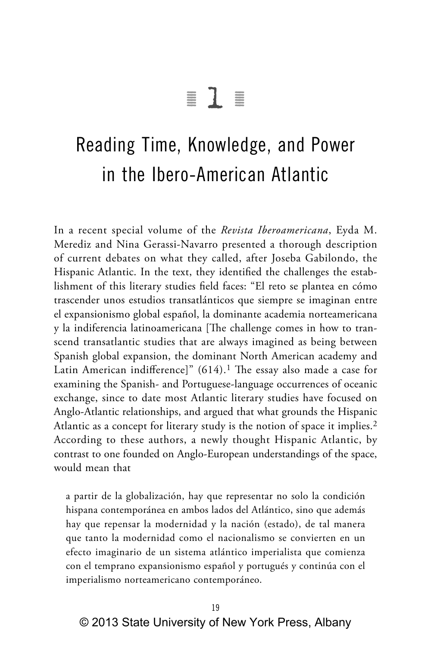11

# Reading Time, Knowledge, and Power in the Ibero-American Atlantic

In a recent special volume of the *Revista Iberoamericana*, Eyda M. Merediz and Nina Gerassi-Navarro presented a thorough description of current debates on what they called, after Joseba Gabilondo, the Hispanic Atlantic. In the text, they identified the challenges the establishment of this literary studies field faces: "El reto se plantea en cómo trascender unos estudios transatlánticos que siempre se imaginan entre el expansionismo global español, la dominante academia norteamericana y la indiferencia latinoamericana [The challenge comes in how to transcend transatlantic studies that are always imagined as being between Spanish global expansion, the dominant North American academy and Latin American indifference]"  $(614).1$  The essay also made a case for examining the Spanish- and Portuguese-language occurrences of oceanic exchange, since to date most Atlantic literary studies have focused on Anglo-Atlantic relationships, and argued that what grounds the Hispanic Atlantic as a concept for literary study is the notion of space it implies.<sup>2</sup> According to these authors, a newly thought Hispanic Atlantic, by contrast to one founded on Anglo-European understandings of the space, would mean that

a partir de la globalización, hay que representar no solo la condición hispana contemporánea en ambos lados del Atlántico, sino que además hay que repensar la modernidad y la nación (estado), de tal manera que tanto la modernidad como el nacionalismo se convierten en un efecto imaginario de un sistema atlántico imperialista que comienza con el temprano expansionismo español y portugués y continúa con el imperialismo norteamericano contemporáneo.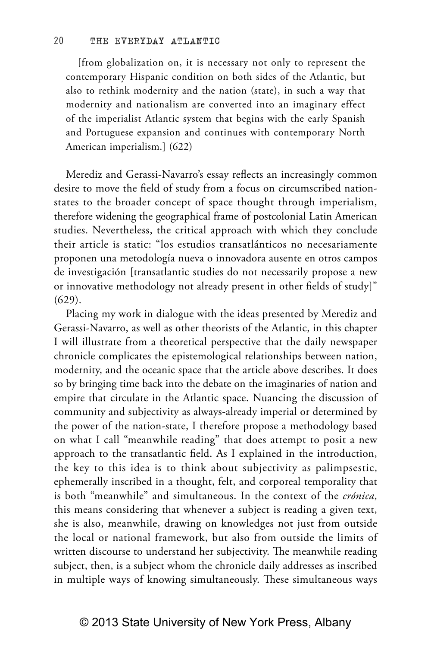[from globalization on, it is necessary not only to represent the contemporary Hispanic condition on both sides of the Atlantic, but also to rethink modernity and the nation (state), in such a way that modernity and nationalism are converted into an imaginary effect of the imperialist Atlantic system that begins with the early Spanish and Portuguese expansion and continues with contemporary North American imperialism.] (622)

Merediz and Gerassi-Navarro's essay reflects an increasingly common desire to move the field of study from a focus on circumscribed nationstates to the broader concept of space thought through imperialism, therefore widening the geographical frame of postcolonial Latin American studies. Nevertheless, the critical approach with which they conclude their article is static: "los estudios transatlánticos no necesariamente proponen una metodología nueva o innovadora ausente en otros campos de investigación [transatlantic studies do not necessarily propose a new or innovative methodology not already present in other fields of study]" (629).

Placing my work in dialogue with the ideas presented by Merediz and Gerassi-Navarro, as well as other theorists of the Atlantic, in this chapter I will illustrate from a theoretical perspective that the daily newspaper chronicle complicates the epistemological relationships between nation, modernity, and the oceanic space that the article above describes. It does so by bringing time back into the debate on the imaginaries of nation and empire that circulate in the Atlantic space. Nuancing the discussion of community and subjectivity as always-already imperial or determined by the power of the nation-state, I therefore propose a methodology based on what I call "meanwhile reading" that does attempt to posit a new approach to the transatlantic field. As I explained in the introduction, the key to this idea is to think about subjectivity as palimpsestic, ephemerally inscribed in a thought, felt, and corporeal temporality that is both "meanwhile" and simultaneous. In the context of the *crónica*, this means considering that whenever a subject is reading a given text, she is also, meanwhile, drawing on knowledges not just from outside the local or national framework, but also from outside the limits of written discourse to understand her subjectivity. The meanwhile reading subject, then, is a subject whom the chronicle daily addresses as inscribed in multiple ways of knowing simultaneously. These simultaneous ways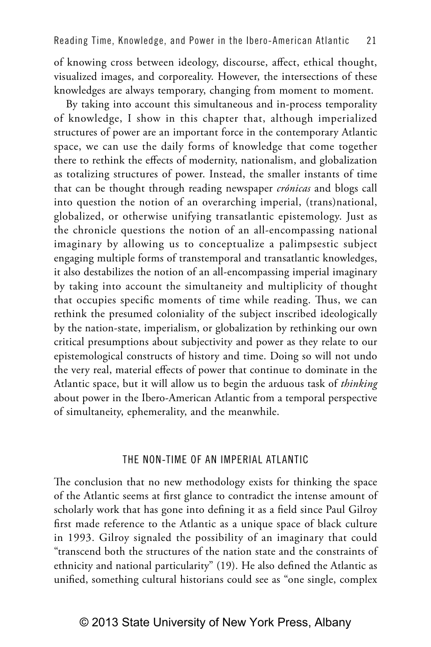of knowing cross between ideology, discourse, affect, ethical thought, visualized images, and corporeality. However, the intersections of these knowledges are always temporary, changing from moment to moment.

By taking into account this simultaneous and in-process temporality of knowledge, I show in this chapter that, although imperialized structures of power are an important force in the contemporary Atlantic space, we can use the daily forms of knowledge that come together there to rethink the effects of modernity, nationalism, and globalization as totalizing structures of power. Instead, the smaller instants of time that can be thought through reading newspaper *crónicas* and blogs call into question the notion of an overarching imperial, (trans)national, globalized, or otherwise unifying transatlantic epistemology. Just as the chronicle questions the notion of an all-encompassing national imaginary by allowing us to conceptualize a palimpsestic subject engaging multiple forms of transtemporal and transatlantic knowledges, it also destabilizes the notion of an all-encompassing imperial imaginary by taking into account the simultaneity and multiplicity of thought that occupies specific moments of time while reading. Thus, we can rethink the presumed coloniality of the subject inscribed ideologically by the nation-state, imperialism, or globalization by rethinking our own critical presumptions about subjectivity and power as they relate to our epistemological constructs of history and time. Doing so will not undo the very real, material effects of power that continue to dominate in the Atlantic space, but it will allow us to begin the arduous task of *thinking*  about power in the Ibero-American Atlantic from a temporal perspective of simultaneity, ephemerality, and the meanwhile.

#### THE NON-TIME OF AN IMPERIAL ATLANTIC

The conclusion that no new methodology exists for thinking the space of the Atlantic seems at first glance to contradict the intense amount of scholarly work that has gone into defining it as a field since Paul Gilroy first made reference to the Atlantic as a unique space of black culture in 1993. Gilroy signaled the possibility of an imaginary that could "transcend both the structures of the nation state and the constraints of ethnicity and national particularity" (19). He also defined the Atlantic as unified, something cultural historians could see as "one single, complex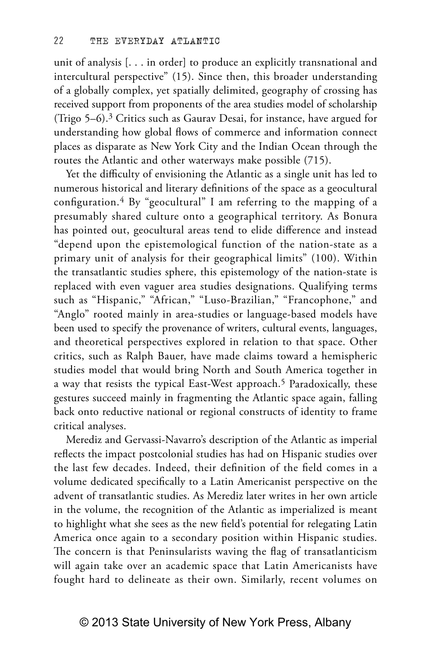unit of analysis [. . . in order] to produce an explicitly transnational and intercultural perspective" (15). Since then, this broader understanding of a globally complex, yet spatially delimited, geography of crossing has received support from proponents of the area studies model of scholarship (Trigo 5–6).3 Critics such as Gaurav Desai, for instance, have argued for understanding how global flows of commerce and information connect places as disparate as New York City and the Indian Ocean through the routes the Atlantic and other waterways make possible (715).

Yet the difficulty of envisioning the Atlantic as a single unit has led to numerous historical and literary definitions of the space as a geocultural configuration.<sup>4</sup> By "geocultural" I am referring to the mapping of a presumably shared culture onto a geographical territory. As Bonura has pointed out, geocultural areas tend to elide difference and instead "depend upon the epistemological function of the nation-state as a primary unit of analysis for their geographical limits" (100). Within the transatlantic studies sphere, this epistemology of the nation-state is replaced with even vaguer area studies designations. Qualifying terms such as "Hispanic," "African," "Luso-Brazilian," "Francophone," and "Anglo" rooted mainly in area-studies or language-based models have been used to specify the provenance of writers, cultural events, languages, and theoretical perspectives explored in relation to that space. Other critics, such as Ralph Bauer, have made claims toward a hemispheric studies model that would bring North and South America together in a way that resists the typical East-West approach.5 Paradoxically, these gestures succeed mainly in fragmenting the Atlantic space again, falling back onto reductive national or regional constructs of identity to frame critical analyses.

Merediz and Gervassi-Navarro's description of the Atlantic as imperial reflects the impact postcolonial studies has had on Hispanic studies over the last few decades. Indeed, their definition of the field comes in a volume dedicated specifically to a Latin Americanist perspective on the advent of transatlantic studies. As Merediz later writes in her own article in the volume, the recognition of the Atlantic as imperialized is meant to highlight what she sees as the new field's potential for relegating Latin America once again to a secondary position within Hispanic studies. The concern is that Peninsularists waving the flag of transatlanticism will again take over an academic space that Latin Americanists have fought hard to delineate as their own. Similarly, recent volumes on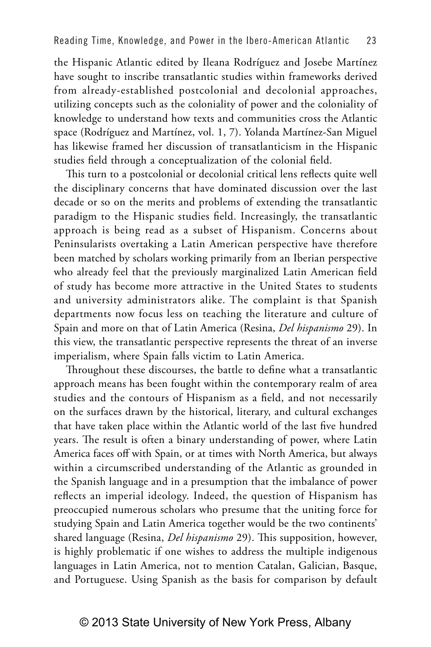the Hispanic Atlantic edited by Ileana Rodríguez and Josebe Martínez have sought to inscribe transatlantic studies within frameworks derived from already-established postcolonial and decolonial approaches, utilizing concepts such as the coloniality of power and the coloniality of knowledge to understand how texts and communities cross the Atlantic space (Rodríguez and Martínez, vol. 1, 7). Yolanda Martínez-San Miguel has likewise framed her discussion of transatlanticism in the Hispanic studies field through a conceptualization of the colonial field.

This turn to a postcolonial or decolonial critical lens reflects quite well the disciplinary concerns that have dominated discussion over the last decade or so on the merits and problems of extending the transatlantic paradigm to the Hispanic studies field. Increasingly, the transatlantic approach is being read as a subset of Hispanism. Concerns about Peninsularists overtaking a Latin American perspective have therefore been matched by scholars working primarily from an Iberian perspective who already feel that the previously marginalized Latin American field of study has become more attractive in the United States to students and university administrators alike. The complaint is that Spanish departments now focus less on teaching the literature and culture of Spain and more on that of Latin America (Resina, *Del hispanismo* 29). In this view, the transatlantic perspective represents the threat of an inverse imperialism, where Spain falls victim to Latin America.

Throughout these discourses, the battle to define what a transatlantic approach means has been fought within the contemporary realm of area studies and the contours of Hispanism as a field, and not necessarily on the surfaces drawn by the historical, literary, and cultural exchanges that have taken place within the Atlantic world of the last five hundred years. The result is often a binary understanding of power, where Latin America faces off with Spain, or at times with North America, but always within a circumscribed understanding of the Atlantic as grounded in the Spanish language and in a presumption that the imbalance of power reflects an imperial ideology. Indeed, the question of Hispanism has preoccupied numerous scholars who presume that the uniting force for studying Spain and Latin America together would be the two continents' shared language (Resina, *Del hispanismo* 29). This supposition, however, is highly problematic if one wishes to address the multiple indigenous languages in Latin America, not to mention Catalan, Galician, Basque, and Portuguese. Using Spanish as the basis for comparison by default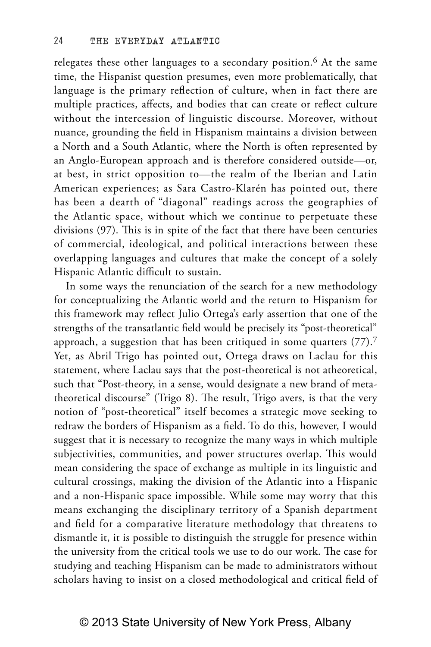relegates these other languages to a secondary position.<sup>6</sup> At the same time, the Hispanist question presumes, even more problematically, that language is the primary reflection of culture, when in fact there are multiple practices, affects, and bodies that can create or reflect culture without the intercession of linguistic discourse. Moreover, without nuance, grounding the field in Hispanism maintains a division between a North and a South Atlantic, where the North is often represented by an Anglo-European approach and is therefore considered outside—or, at best, in strict opposition to—the realm of the Iberian and Latin American experiences; as Sara Castro-Klarén has pointed out, there has been a dearth of "diagonal" readings across the geographies of the Atlantic space, without which we continue to perpetuate these divisions (97). This is in spite of the fact that there have been centuries of commercial, ideological, and political interactions between these overlapping languages and cultures that make the concept of a solely Hispanic Atlantic difficult to sustain.

In some ways the renunciation of the search for a new methodology for conceptualizing the Atlantic world and the return to Hispanism for this framework may reflect Julio Ortega's early assertion that one of the strengths of the transatlantic field would be precisely its "post-theoretical" approach, a suggestion that has been critiqued in some quarters (77).<sup>7</sup> Yet, as Abril Trigo has pointed out, Ortega draws on Laclau for this statement, where Laclau says that the post-theoretical is not atheoretical, such that "Post-theory, in a sense, would designate a new brand of metatheoretical discourse" (Trigo 8). The result, Trigo avers, is that the very notion of "post-theoretical" itself becomes a strategic move seeking to redraw the borders of Hispanism as a field. To do this, however, I would suggest that it is necessary to recognize the many ways in which multiple subjectivities, communities, and power structures overlap. This would mean considering the space of exchange as multiple in its linguistic and cultural crossings, making the division of the Atlantic into a Hispanic and a non-Hispanic space impossible. While some may worry that this means exchanging the disciplinary territory of a Spanish department and field for a comparative literature methodology that threatens to dismantle it, it is possible to distinguish the struggle for presence within the university from the critical tools we use to do our work. The case for studying and teaching Hispanism can be made to administrators without scholars having to insist on a closed methodological and critical field of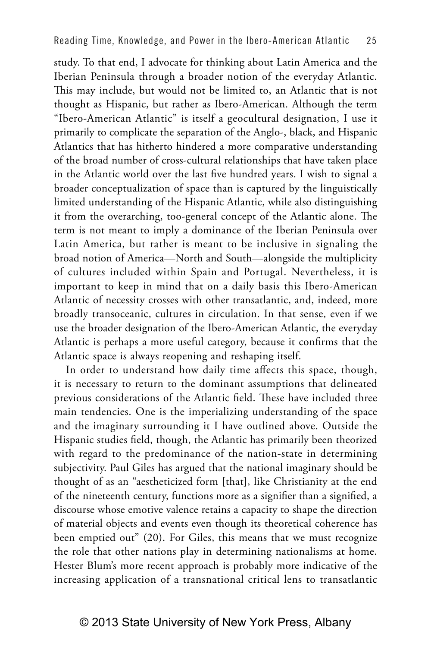study. To that end, I advocate for thinking about Latin America and the Iberian Peninsula through a broader notion of the everyday Atlantic. This may include, but would not be limited to, an Atlantic that is not thought as Hispanic, but rather as Ibero-American. Although the term "Ibero-American Atlantic" is itself a geocultural designation, I use it primarily to complicate the separation of the Anglo-, black, and Hispanic Atlantics that has hitherto hindered a more comparative understanding of the broad number of cross-cultural relationships that have taken place in the Atlantic world over the last five hundred years. I wish to signal a broader conceptualization of space than is captured by the linguistically limited understanding of the Hispanic Atlantic, while also distinguishing it from the overarching, too-general concept of the Atlantic alone. The term is not meant to imply a dominance of the Iberian Peninsula over Latin America, but rather is meant to be inclusive in signaling the broad notion of America—North and South—alongside the multiplicity of cultures included within Spain and Portugal. Nevertheless, it is important to keep in mind that on a daily basis this Ibero-American Atlantic of necessity crosses with other transatlantic, and, indeed, more broadly transoceanic, cultures in circulation. In that sense, even if we use the broader designation of the Ibero-American Atlantic, the everyday Atlantic is perhaps a more useful category, because it confirms that the Atlantic space is always reopening and reshaping itself.

In order to understand how daily time affects this space, though, it is necessary to return to the dominant assumptions that delineated previous considerations of the Atlantic field. These have included three main tendencies. One is the imperializing understanding of the space and the imaginary surrounding it I have outlined above. Outside the Hispanic studies field, though, the Atlantic has primarily been theorized with regard to the predominance of the nation-state in determining subjectivity. Paul Giles has argued that the national imaginary should be thought of as an "aestheticized form [that], like Christianity at the end of the nineteenth century, functions more as a signifier than a signified, a discourse whose emotive valence retains a capacity to shape the direction of material objects and events even though its theoretical coherence has been emptied out" (20). For Giles, this means that we must recognize the role that other nations play in determining nationalisms at home. Hester Blum's more recent approach is probably more indicative of the increasing application of a transnational critical lens to transatlantic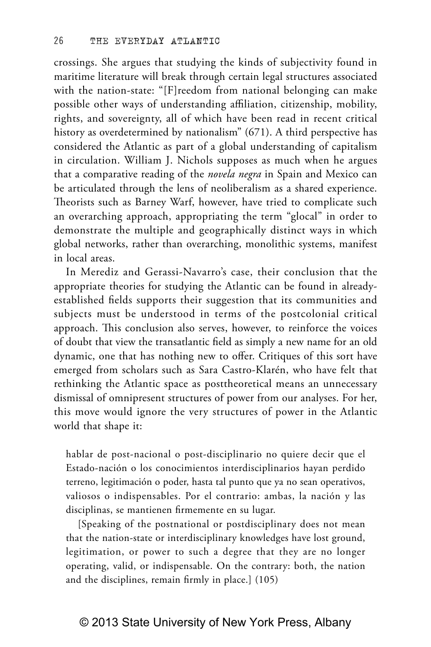crossings. She argues that studying the kinds of subjectivity found in maritime literature will break through certain legal structures associated with the nation-state: "[F]reedom from national belonging can make possible other ways of understanding affiliation, citizenship, mobility, rights, and sovereignty, all of which have been read in recent critical history as overdetermined by nationalism" (671). A third perspective has considered the Atlantic as part of a global understanding of capitalism in circulation. William J. Nichols supposes as much when he argues that a comparative reading of the *novela negra* in Spain and Mexico can be articulated through the lens of neoliberalism as a shared experience. Theorists such as Barney Warf, however, have tried to complicate such an overarching approach, appropriating the term "glocal" in order to demonstrate the multiple and geographically distinct ways in which global networks, rather than overarching, monolithic systems, manifest in local areas.

In Merediz and Gerassi-Navarro's case, their conclusion that the appropriate theories for studying the Atlantic can be found in alreadyestablished fields supports their suggestion that its communities and subjects must be understood in terms of the postcolonial critical approach. This conclusion also serves, however, to reinforce the voices of doubt that view the transatlantic field as simply a new name for an old dynamic, one that has nothing new to offer. Critiques of this sort have emerged from scholars such as Sara Castro-Klarén, who have felt that rethinking the Atlantic space as posttheoretical means an unnecessary dismissal of omnipresent structures of power from our analyses. For her, this move would ignore the very structures of power in the Atlantic world that shape it:

hablar de post-nacional o post-disciplinario no quiere decir que el Estado-nación o los conocimientos interdisciplinarios hayan perdido terreno, legitimación o poder, hasta tal punto que ya no sean operativos, valiosos o indispensables. Por el contrario: ambas, la nación y las disciplinas, se mantienen firmemente en su lugar.

[Speaking of the postnational or postdisciplinary does not mean that the nation-state or interdisciplinary knowledges have lost ground, legitimation, or power to such a degree that they are no longer operating, valid, or indispensable. On the contrary: both, the nation and the disciplines, remain firmly in place.] (105)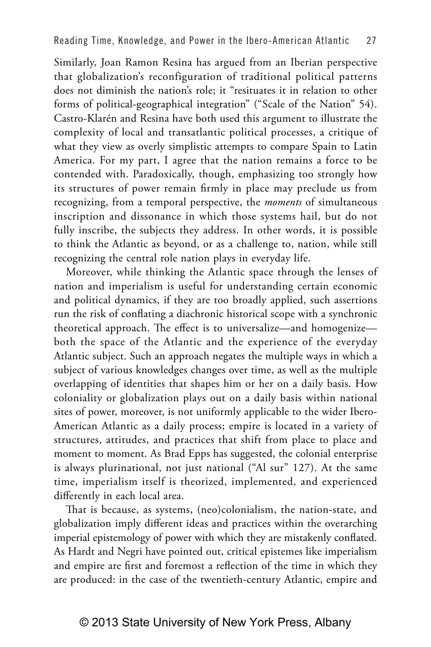Similarly, Joan Ramon Resina has argued from an Iberian perspective that globalization's reconfiguration of traditional political patterns does not diminish the nation's role; it "resituates it in relation to other forms of political-geographical integration" ("Scale of the Nation" 54). Castro-Klarén and Resina have both used this argument to illustrate the complexity of local and transatlantic political processes, a critique of what they view as overly simplistic attempts to compare Spain to Latin America. For my part, I agree that the nation remains a force to be contended with. Paradoxically, though, emphasizing too strongly how its structures of power remain firmly in place may preclude us from recognizing, from a temporal perspective, the *moments* of simultaneous inscription and dissonance in which those systems hail, but do not fully inscribe, the subjects they address. In other words, it is possible to think the Atlantic as beyond, or as a challenge to, nation, while still recognizing the central role nation plays in everyday life.

Moreover, while thinking the Atlantic space through the lenses of nation and imperialism is useful for understanding certain economic and political dynamics, if they are too broadly applied, such assertions run the risk of conflating a diachronic historical scope with a synchronic theoretical approach. The effect is to universalize—and homogenize both the space of the Atlantic and the experience of the everyday Atlantic subject. Such an approach negates the multiple ways in which a subject of various knowledges changes over time, as well as the multiple overlapping of identities that shapes him or her on a daily basis. How coloniality or globalization plays out on a daily basis within national sites of power, moreover, is not uniformly applicable to the wider Ibero-American Atlantic as a daily process; empire is located in a variety of structures, attitudes, and practices that shift from place to place and moment to moment. As Brad Epps has suggested, the colonial enterprise is always plurinational, not just national ("Al sur" 127). At the same time, imperialism itself is theorized, implemented, and experienced differently in each local area.

That is because, as systems, (neo)colonialism, the nation-state, and globalization imply different ideas and practices within the overarching imperial epistemology of power with which they are mistakenly conflated. As Hardt and Negri have pointed out, critical epistemes like imperialism and empire are first and foremost a reflection of the time in which they are produced: in the case of the twentieth-century Atlantic, empire and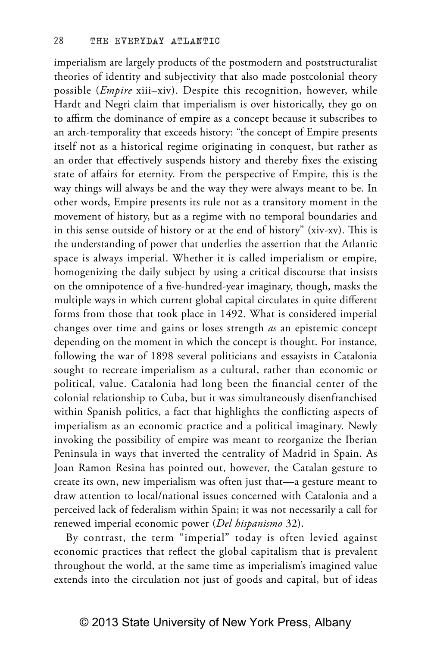imperialism are largely products of the postmodern and poststructuralist theories of identity and subjectivity that also made postcolonial theory possible (*Empire* xiii–xiv). Despite this recognition, however, while Hardt and Negri claim that imperialism is over historically, they go on to affirm the dominance of empire as a concept because it subscribes to an arch-temporality that exceeds history: "the concept of Empire presents itself not as a historical regime originating in conquest, but rather as an order that effectively suspends history and thereby fixes the existing state of affairs for eternity. From the perspective of Empire, this is the way things will always be and the way they were always meant to be. In other words, Empire presents its rule not as a transitory moment in the movement of history, but as a regime with no temporal boundaries and in this sense outside of history or at the end of history" (xiv-xv). This is the understanding of power that underlies the assertion that the Atlantic space is always imperial. Whether it is called imperialism or empire, homogenizing the daily subject by using a critical discourse that insists on the omnipotence of a five-hundred-year imaginary, though, masks the multiple ways in which current global capital circulates in quite different forms from those that took place in 1492. What is considered imperial changes over time and gains or loses strength *as* an epistemic concept depending on the moment in which the concept is thought. For instance, following the war of 1898 several politicians and essayists in Catalonia sought to recreate imperialism as a cultural, rather than economic or political, value. Catalonia had long been the financial center of the colonial relationship to Cuba, but it was simultaneously disenfranchised within Spanish politics, a fact that highlights the conflicting aspects of imperialism as an economic practice and a political imaginary. Newly invoking the possibility of empire was meant to reorganize the Iberian Peninsula in ways that inverted the centrality of Madrid in Spain. As Joan Ramon Resina has pointed out, however, the Catalan gesture to create its own, new imperialism was often just that—a gesture meant to draw attention to local/national issues concerned with Catalonia and a perceived lack of federalism within Spain; it was not necessarily a call for renewed imperial economic power (*Del hispanismo* 32).

By contrast, the term "imperial" today is often levied against economic practices that reflect the global capitalism that is prevalent throughout the world, at the same time as imperialism's imagined value extends into the circulation not just of goods and capital, but of ideas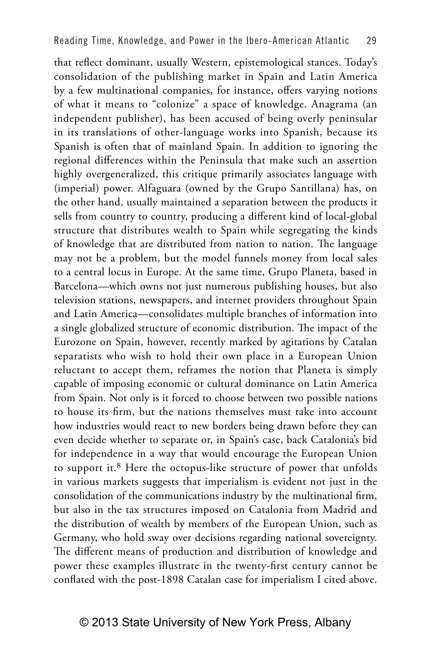that reflect dominant, usually Western, epistemological stances. Today's consolidation of the publishing market in Spain and Latin America by a few multinational companies, for instance, offers varying notions of what it means to "colonize" a space of knowledge. Anagrama (an independent publisher), has been accused of being overly peninsular in its translations of other-language works into Spanish, because its Spanish is often that of mainland Spain. In addition to ignoring the regional differences within the Peninsula that make such an assertion highly overgeneralized, this critique primarily associates language with (imperial) power. Alfaguara (owned by the Grupo Santillana) has, on the other hand, usually maintained a separation between the products it sells from country to country, producing a different kind of local-global structure that distributes wealth to Spain while segregating the kinds of knowledge that are distributed from nation to nation. The language may not be a problem, but the model funnels money from local sales to a central locus in Europe. At the same time, Grupo Planeta, based in Barcelona—which owns not just numerous publishing houses, but also television stations, newspapers, and internet providers throughout Spain and Latin America—consolidates multiple branches of information into a single globalized structure of economic distribution. The impact of the Eurozone on Spain, however, recently marked by agitations by Catalan separatists who wish to hold their own place in a European Union reluctant to accept them, reframes the notion that Planeta is simply capable of imposing economic or cultural dominance on Latin America from Spain. Not only is it forced to choose between two possible nations to house its firm, but the nations themselves must take into account how industries would react to new borders being drawn before they can even decide whether to separate or, in Spain's case, back Catalonia's bid for independence in a way that would encourage the European Union to support it.8 Here the octopus-like structure of power that unfolds in various markets suggests that imperialism is evident not just in the consolidation of the communications industry by the multinational firm, but also in the tax structures imposed on Catalonia from Madrid and the distribution of wealth by members of the European Union, such as Germany, who hold sway over decisions regarding national sovereignty. The different means of production and distribution of knowledge and power these examples illustrate in the twenty-first century cannot be conflated with the post-1898 Catalan case for imperialism I cited above.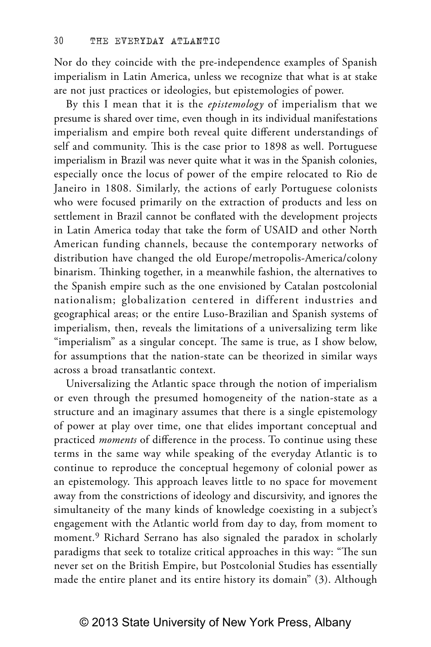Nor do they coincide with the pre-independence examples of Spanish imperialism in Latin America, unless we recognize that what is at stake are not just practices or ideologies, but epistemologies of power.

By this I mean that it is the *epistemology* of imperialism that we presume is shared over time, even though in its individual manifestations imperialism and empire both reveal quite different understandings of self and community. This is the case prior to 1898 as well. Portuguese imperialism in Brazil was never quite what it was in the Spanish colonies, especially once the locus of power of the empire relocated to Rio de Janeiro in 1808. Similarly, the actions of early Portuguese colonists who were focused primarily on the extraction of products and less on settlement in Brazil cannot be conflated with the development projects in Latin America today that take the form of USAID and other North American funding channels, because the contemporary networks of distribution have changed the old Europe/metropolis-America/colony binarism. Thinking together, in a meanwhile fashion, the alternatives to the Spanish empire such as the one envisioned by Catalan postcolonial nationalism; globalization centered in different industries and geographical areas; or the entire Luso-Brazilian and Spanish systems of imperialism, then, reveals the limitations of a universalizing term like "imperialism" as a singular concept. The same is true, as I show below, for assumptions that the nation-state can be theorized in similar ways across a broad transatlantic context.

Universalizing the Atlantic space through the notion of imperialism or even through the presumed homogeneity of the nation-state as a structure and an imaginary assumes that there is a single epistemology of power at play over time, one that elides important conceptual and practiced *moments* of difference in the process. To continue using these terms in the same way while speaking of the everyday Atlantic is to continue to reproduce the conceptual hegemony of colonial power as an epistemology. This approach leaves little to no space for movement away from the constrictions of ideology and discursivity, and ignores the simultaneity of the many kinds of knowledge coexisting in a subject's engagement with the Atlantic world from day to day, from moment to moment.9 Richard Serrano has also signaled the paradox in scholarly paradigms that seek to totalize critical approaches in this way: "The sun never set on the British Empire, but Postcolonial Studies has essentially made the entire planet and its entire history its domain" (3). Although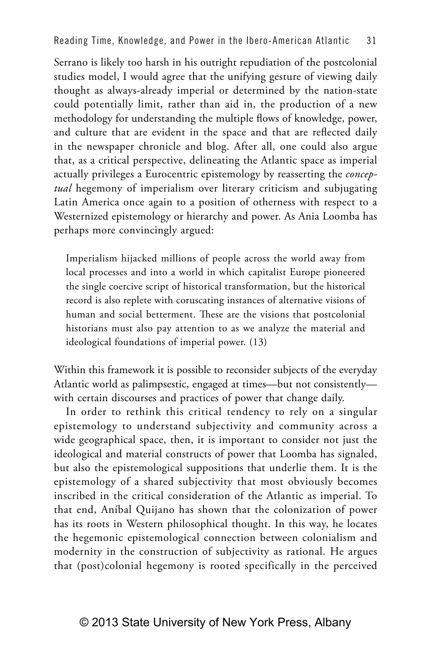Serrano is likely too harsh in his outright repudiation of the postcolonial studies model, I would agree that the unifying gesture of viewing daily thought as always-already imperial or determined by the nation-state could potentially limit, rather than aid in, the production of a new methodology for understanding the multiple flows of knowledge, power, and culture that are evident in the space and that are reflected daily in the newspaper chronicle and blog. After all, one could also argue that, as a critical perspective, delineating the Atlantic space as imperial actually privileges a Eurocentric epistemology by reasserting the *conceptual* hegemony of imperialism over literary criticism and subjugating Latin America once again to a position of otherness with respect to a Westernized epistemology or hierarchy and power. As Ania Loomba has perhaps more convincingly argued:

Imperialism hijacked millions of people across the world away from local processes and into a world in which capitalist Europe pioneered the single coercive script of historical transformation, but the historical record is also replete with coruscating instances of alternative visions of human and social betterment. These are the visions that postcolonial historians must also pay attention to as we analyze the material and ideological foundations of imperial power. (13)

Within this framework it is possible to reconsider subjects of the everyday Atlantic world as palimpsestic, engaged at times—but not consistently with certain discourses and practices of power that change daily.

In order to rethink this critical tendency to rely on a singular epistemology to understand subjectivity and community across a wide geographical space, then, it is important to consider not just the ideological and material constructs of power that Loomba has signaled, but also the epistemological suppositions that underlie them. It is the epistemology of a shared subjectivity that most obviously becomes inscribed in the critical consideration of the Atlantic as imperial. To that end, Aníbal Quijano has shown that the colonization of power has its roots in Western philosophical thought. In this way, he locates the hegemonic epistemological connection between colonialism and modernity in the construction of subjectivity as rational. He argues that (post)colonial hegemony is rooted specifically in the perceived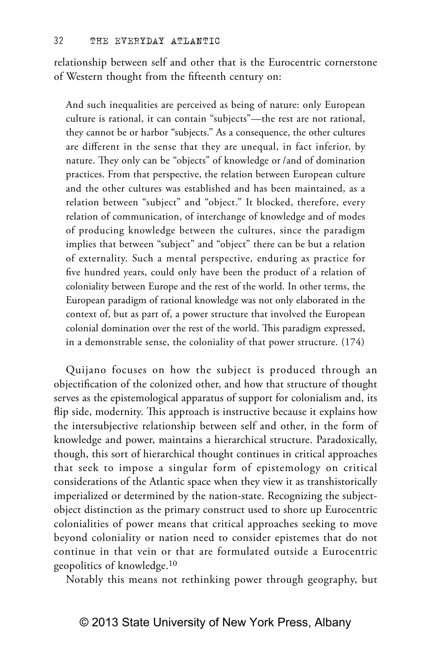relationship between self and other that is the Eurocentric cornerstone of Western thought from the fifteenth century on:

And such inequalities are perceived as being of nature: only European culture is rational, it can contain "subjects"—the rest are not rational, they cannot be or harbor "subjects." As a consequence, the other cultures are different in the sense that they are unequal, in fact inferior, by nature. They only can be "objects" of knowledge or /and of domination practices. From that perspective, the relation between European culture and the other cultures was established and has been maintained, as a relation between "subject" and "object." It blocked, therefore, every relation of communication, of interchange of knowledge and of modes of producing knowledge between the cultures, since the paradigm implies that between "subject" and "object" there can be but a relation of externality. Such a mental perspective, enduring as practice for five hundred years, could only have been the product of a relation of coloniality between Europe and the rest of the world. In other terms, the European paradigm of rational knowledge was not only elaborated in the context of, but as part of, a power structure that involved the European colonial domination over the rest of the world. This paradigm expressed, in a demonstrable sense, the coloniality of that power structure. (174)

Quijano focuses on how the subject is produced through an objectification of the colonized other, and how that structure of thought serves as the epistemological apparatus of support for colonialism and, its flip side, modernity. This approach is instructive because it explains how the intersubjective relationship between self and other, in the form of knowledge and power, maintains a hierarchical structure. Paradoxically, though, this sort of hierarchical thought continues in critical approaches that seek to impose a singular form of epistemology on critical considerations of the Atlantic space when they view it as transhistorically imperialized or determined by the nation-state. Recognizing the subjectobject distinction as the primary construct used to shore up Eurocentric colonialities of power means that critical approaches seeking to move beyond coloniality or nation need to consider epistemes that do not continue in that vein or that are formulated outside a Eurocentric geopolitics of knowledge.10

Notably this means not rethinking power through geography, but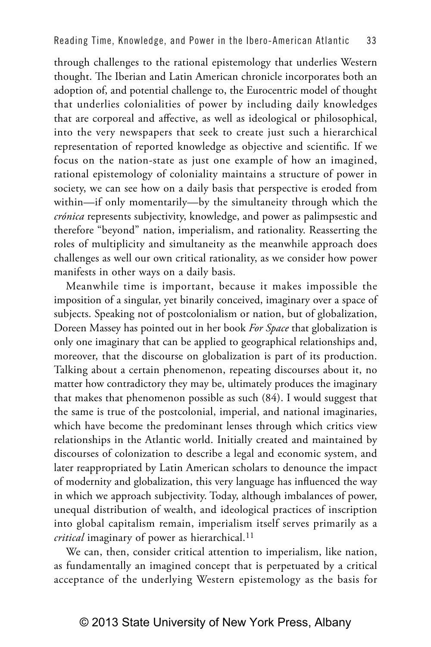through challenges to the rational epistemology that underlies Western thought. The Iberian and Latin American chronicle incorporates both an adoption of, and potential challenge to, the Eurocentric model of thought that underlies colonialities of power by including daily knowledges that are corporeal and affective, as well as ideological or philosophical, into the very newspapers that seek to create just such a hierarchical representation of reported knowledge as objective and scientific. If we focus on the nation-state as just one example of how an imagined, rational epistemology of coloniality maintains a structure of power in society, we can see how on a daily basis that perspective is eroded from within—if only momentarily—by the simultaneity through which the *crónica* represents subjectivity, knowledge, and power as palimpsestic and therefore "beyond" nation, imperialism, and rationality. Reasserting the roles of multiplicity and simultaneity as the meanwhile approach does challenges as well our own critical rationality, as we consider how power manifests in other ways on a daily basis.

Meanwhile time is important, because it makes impossible the imposition of a singular, yet binarily conceived, imaginary over a space of subjects. Speaking not of postcolonialism or nation, but of globalization, Doreen Massey has pointed out in her book *For Space* that globalization is only one imaginary that can be applied to geographical relationships and, moreover, that the discourse on globalization is part of its production. Talking about a certain phenomenon, repeating discourses about it, no matter how contradictory they may be, ultimately produces the imaginary that makes that phenomenon possible as such (84). I would suggest that the same is true of the postcolonial, imperial, and national imaginaries, which have become the predominant lenses through which critics view relationships in the Atlantic world. Initially created and maintained by discourses of colonization to describe a legal and economic system, and later reappropriated by Latin American scholars to denounce the impact of modernity and globalization, this very language has influenced the way in which we approach subjectivity. Today, although imbalances of power, unequal distribution of wealth, and ideological practices of inscription into global capitalism remain, imperialism itself serves primarily as a *critical* imaginary of power as hierarchical.11

We can, then, consider critical attention to imperialism, like nation, as fundamentally an imagined concept that is perpetuated by a critical acceptance of the underlying Western epistemology as the basis for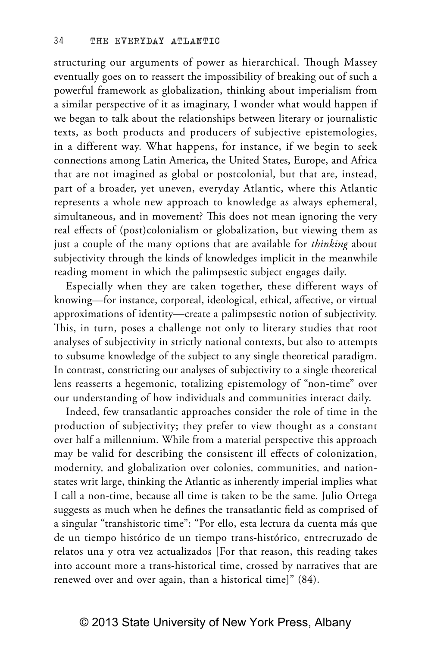structuring our arguments of power as hierarchical. Though Massey eventually goes on to reassert the impossibility of breaking out of such a powerful framework as globalization, thinking about imperialism from a similar perspective of it as imaginary, I wonder what would happen if we began to talk about the relationships between literary or journalistic texts, as both products and producers of subjective epistemologies, in a different way. What happens, for instance, if we begin to seek connections among Latin America, the United States, Europe, and Africa that are not imagined as global or postcolonial, but that are, instead, part of a broader, yet uneven, everyday Atlantic, where this Atlantic represents a whole new approach to knowledge as always ephemeral, simultaneous, and in movement? This does not mean ignoring the very real effects of (post)colonialism or globalization, but viewing them as just a couple of the many options that are available for *thinking* about subjectivity through the kinds of knowledges implicit in the meanwhile reading moment in which the palimpsestic subject engages daily.

Especially when they are taken together, these different ways of knowing—for instance, corporeal, ideological, ethical, affective, or virtual approximations of identity—create a palimpsestic notion of subjectivity. This, in turn, poses a challenge not only to literary studies that root analyses of subjectivity in strictly national contexts, but also to attempts to subsume knowledge of the subject to any single theoretical paradigm. In contrast, constricting our analyses of subjectivity to a single theoretical lens reasserts a hegemonic, totalizing epistemology of "non-time" over our understanding of how individuals and communities interact daily.

Indeed, few transatlantic approaches consider the role of time in the production of subjectivity; they prefer to view thought as a constant over half a millennium. While from a material perspective this approach may be valid for describing the consistent ill effects of colonization, modernity, and globalization over colonies, communities, and nationstates writ large, thinking the Atlantic as inherently imperial implies what I call a non-time, because all time is taken to be the same. Julio Ortega suggests as much when he defines the transatlantic field as comprised of a singular "transhistoric time": "Por ello, esta lectura da cuenta más que de un tiempo histórico de un tiempo trans-histórico, entrecruzado de relatos una y otra vez actualizados [For that reason, this reading takes into account more a trans-historical time, crossed by narratives that are renewed over and over again, than a historical time]" (84).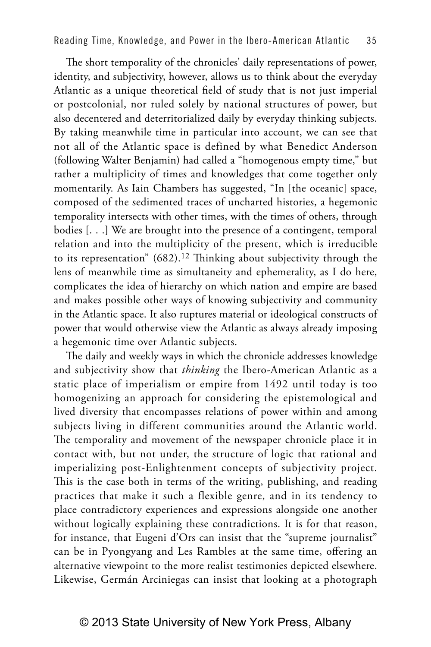The short temporality of the chronicles' daily representations of power, identity, and subjectivity, however, allows us to think about the everyday Atlantic as a unique theoretical field of study that is not just imperial or postcolonial, nor ruled solely by national structures of power, but also decentered and deterritorialized daily by everyday thinking subjects. By taking meanwhile time in particular into account, we can see that not all of the Atlantic space is defined by what Benedict Anderson (following Walter Benjamin) had called a "homogenous empty time," but rather a multiplicity of times and knowledges that come together only momentarily. As Iain Chambers has suggested, "In [the oceanic] space, composed of the sedimented traces of uncharted histories, a hegemonic temporality intersects with other times, with the times of others, through bodies [. . .] We are brought into the presence of a contingent, temporal relation and into the multiplicity of the present, which is irreducible to its representation"  $(682).<sup>12</sup>$  Thinking about subjectivity through the lens of meanwhile time as simultaneity and ephemerality, as I do here, complicates the idea of hierarchy on which nation and empire are based and makes possible other ways of knowing subjectivity and community in the Atlantic space. It also ruptures material or ideological constructs of power that would otherwise view the Atlantic as always already imposing a hegemonic time over Atlantic subjects.

The daily and weekly ways in which the chronicle addresses knowledge and subjectivity show that *thinking* the Ibero-American Atlantic as a static place of imperialism or empire from 1492 until today is too homogenizing an approach for considering the epistemological and lived diversity that encompasses relations of power within and among subjects living in different communities around the Atlantic world. The temporality and movement of the newspaper chronicle place it in contact with, but not under, the structure of logic that rational and imperializing post-Enlightenment concepts of subjectivity project. This is the case both in terms of the writing, publishing, and reading practices that make it such a flexible genre, and in its tendency to place contradictory experiences and expressions alongside one another without logically explaining these contradictions. It is for that reason, for instance, that Eugeni d'Ors can insist that the "supreme journalist" can be in Pyongyang and Les Rambles at the same time, offering an alternative viewpoint to the more realist testimonies depicted elsewhere. Likewise, Germán Arciniegas can insist that looking at a photograph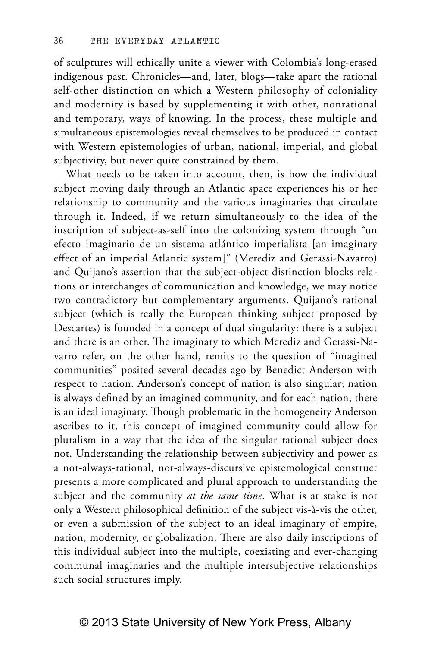of sculptures will ethically unite a viewer with Colombia's long-erased indigenous past. Chronicles—and, later, blogs—take apart the rational self-other distinction on which a Western philosophy of coloniality and modernity is based by supplementing it with other, nonrational and temporary, ways of knowing. In the process, these multiple and simultaneous epistemologies reveal themselves to be produced in contact with Western epistemologies of urban, national, imperial, and global subjectivity, but never quite constrained by them.

What needs to be taken into account, then, is how the individual subject moving daily through an Atlantic space experiences his or her relationship to community and the various imaginaries that circulate through it. Indeed, if we return simultaneously to the idea of the inscription of subject-as-self into the colonizing system through "un efecto imaginario de un sistema atlántico imperialista [an imaginary effect of an imperial Atlantic system]" (Merediz and Gerassi-Navarro) and Quijano's assertion that the subject-object distinction blocks relations or interchanges of communication and knowledge, we may notice two contradictory but complementary arguments. Quijano's rational subject (which is really the European thinking subject proposed by Descartes) is founded in a concept of dual singularity: there is a subject and there is an other. The imaginary to which Merediz and Gerassi-Navarro refer, on the other hand, remits to the question of "imagined communities" posited several decades ago by Benedict Anderson with respect to nation. Anderson's concept of nation is also singular; nation is always defined by an imagined community, and for each nation, there is an ideal imaginary. Though problematic in the homogeneity Anderson ascribes to it, this concept of imagined community could allow for pluralism in a way that the idea of the singular rational subject does not. Understanding the relationship between subjectivity and power as a not-always-rational, not-always-discursive epistemological construct presents a more complicated and plural approach to understanding the subject and the community *at the same time*. What is at stake is not only a Western philosophical definition of the subject vis-à-vis the other, or even a submission of the subject to an ideal imaginary of empire, nation, modernity, or globalization. There are also daily inscriptions of this individual subject into the multiple, coexisting and ever-changing communal imaginaries and the multiple intersubjective relationships such social structures imply.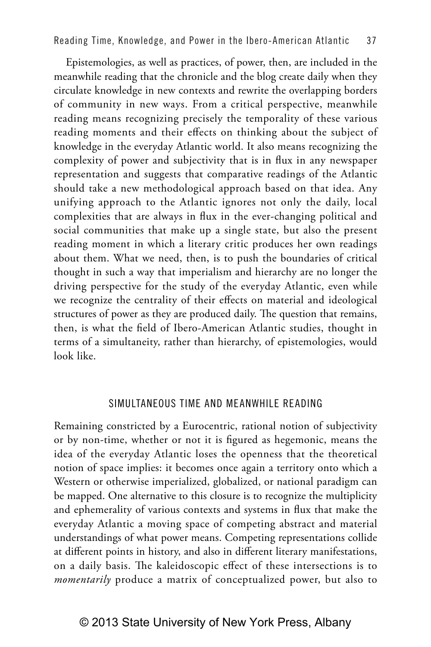Epistemologies, as well as practices, of power, then, are included in the meanwhile reading that the chronicle and the blog create daily when they circulate knowledge in new contexts and rewrite the overlapping borders of community in new ways. From a critical perspective, meanwhile reading means recognizing precisely the temporality of these various reading moments and their effects on thinking about the subject of knowledge in the everyday Atlantic world. It also means recognizing the complexity of power and subjectivity that is in flux in any newspaper representation and suggests that comparative readings of the Atlantic should take a new methodological approach based on that idea. Any unifying approach to the Atlantic ignores not only the daily, local complexities that are always in flux in the ever-changing political and social communities that make up a single state, but also the present reading moment in which a literary critic produces her own readings about them. What we need, then, is to push the boundaries of critical thought in such a way that imperialism and hierarchy are no longer the driving perspective for the study of the everyday Atlantic, even while we recognize the centrality of their effects on material and ideological structures of power as they are produced daily. The question that remains, then, is what the field of Ibero-American Atlantic studies, thought in terms of a simultaneity, rather than hierarchy, of epistemologies, would look like.

#### SIMULTANEOUS TIME AND MEANWHILE READING

Remaining constricted by a Eurocentric, rational notion of subjectivity or by non-time, whether or not it is figured as hegemonic, means the idea of the everyday Atlantic loses the openness that the theoretical notion of space implies: it becomes once again a territory onto which a Western or otherwise imperialized, globalized, or national paradigm can be mapped. One alternative to this closure is to recognize the multiplicity and ephemerality of various contexts and systems in flux that make the everyday Atlantic a moving space of competing abstract and material understandings of what power means. Competing representations collide at different points in history, and also in different literary manifestations, on a daily basis. The kaleidoscopic effect of these intersections is to *momentarily* produce a matrix of conceptualized power, but also to